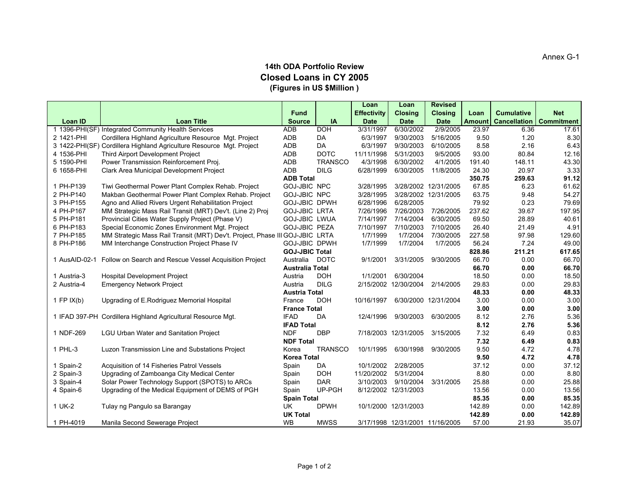## **14th ODA Portfolio Review Closed Loans in CY 2005 (Figures in US \$Million )**

|                |                                                                              |                        |                | Loan               | Loan                            | <b>Revised</b>       |        |                                  |            |
|----------------|------------------------------------------------------------------------------|------------------------|----------------|--------------------|---------------------------------|----------------------|--------|----------------------------------|------------|
|                |                                                                              | <b>Fund</b>            |                | <b>Effectivity</b> | <b>Closing</b>                  | <b>Closing</b>       | Loan   | <b>Cumulative</b>                | <b>Net</b> |
| <b>Loan ID</b> | Loan Title                                                                   | <b>Source</b>          | IA             | <b>Date</b>        | <b>Date</b>                     | <b>Date</b>          | Amount | <b>Cancellation   Commitment</b> |            |
|                | 1 1396-PHI(SF) Integrated Community Health Services                          | <b>ADB</b>             | <b>DOH</b>     | 3/31/1997          | 6/30/2002                       | 2/9/2005             | 23.97  | 6.36                             | 17.61      |
| 2 1421-PHI     | Cordillera Highland Agriculture Resource Mgt. Project                        | <b>ADB</b>             | DA             | 6/3/1997           | 9/30/2003                       | 5/16/2005            | 9.50   | 1.20                             | 8.30       |
|                | 3 1422-PHI(SF) Cordillera Highland Agriculture Resource Mgt. Project         | <b>ADB</b>             | DA             | 6/3/1997           | 9/30/2003                       | 6/10/2005            | 8.58   | 2.16                             | 6.43       |
| 4 1536-PHI     | Third Airport Development Project                                            | <b>ADB</b>             | <b>DOTC</b>    | 11/11/1998         | 5/31/2003                       | 9/5/2005             | 93.00  | 80.84                            | 12.16      |
| 5 1590-PHI     | Power Transmission Reinforcement Proj.                                       | <b>ADB</b>             | <b>TRANSCO</b> | 4/3/1998           | 6/30/2002                       | 4/1/2005             | 191.40 | 148.11                           | 43.30      |
| 6 1658-PHI     | Clark Area Municipal Development Project                                     | <b>ADB</b>             | <b>DILG</b>    | 6/28/1999          | 6/30/2005                       | 11/8/2005            | 24.30  | 20.97                            | 3.33       |
|                |                                                                              | <b>ADB Total</b>       |                |                    |                                 |                      | 350.75 | 259.63                           | 91.12      |
| 1 PH-P139      | Tiwi Geothermal Power Plant Complex Rehab. Project                           | <b>GOJ-JBIC NPC</b>    |                | 3/28/1995          |                                 | 3/28/2002 12/31/2005 | 67.85  | 6.23                             | 61.62      |
| 2 PH-P140      | Makban Geothermal Power Plant Complex Rehab. Project                         | GOJ-JBIC NPC           |                | 3/28/1995          |                                 | 3/28/2002 12/31/2005 | 63.75  | 9.48                             | 54.27      |
| 3 PH-P155      | Agno and Allied Rivers Urgent Rehabilitation Project                         | <b>GOJ-JBIC DPWH</b>   |                | 6/28/1996          | 6/28/2005                       |                      | 79.92  | 0.23                             | 79.69      |
| 4 PH-P167      | MM Strategic Mass Rail Transit (MRT) Dev't. (Line 2) Proj.                   | <b>GOJ-JBIC LRTA</b>   |                | 7/26/1996          | 7/26/2003                       | 7/26/2005            | 237.62 | 39.67                            | 197.95     |
| 5 PH-P181      | Provincial Cities Water Supply Project (Phase V)                             | <b>GOJ-JBIC LWUA</b>   |                | 7/14/1997          | 7/14/2004                       | 6/30/2005            | 69.50  | 28.89                            | 40.61      |
| 6 PH-P183      | Special Economic Zones Environment Mgt. Project                              | GOJ-JBIC PEZA          |                | 7/10/1997          | 7/10/2003                       | 7/10/2005            | 26.40  | 21.49                            | 4.91       |
| 7 PH-P185      | MM Strategic Mass Rail Transit (MRT) Dev't. Project, Phase III GOJ-JBIC LRTA |                        |                | 1/7/1999           | 1/7/2004                        | 7/30/2005            | 227.58 | 97.98                            | 129.60     |
| 8 PH-P186      | MM Interchange Construction Project Phase IV                                 | <b>GOJ-JBIC DPWH</b>   |                | 1/7/1999           | 1/7/2004                        | 1/7/2005             | 56.24  | 7.24                             | 49.00      |
|                |                                                                              | <b>GOJ-JBIC Total</b>  |                |                    |                                 |                      | 828.86 | 211.21                           | 617.65     |
|                | 1 AusAID-02-1 Follow on Search and Rescue Vessel Acquisition Project         | Australia              | <b>DOTC</b>    | 9/1/2001           | 3/31/2005                       | 9/30/2005            | 66.70  | 0.00                             | 66.70      |
|                |                                                                              | <b>Australia Total</b> |                |                    |                                 |                      | 66.70  | 0.00                             | 66.70      |
| 1 Austria-3    | <b>Hospital Development Project</b>                                          | Austria                | <b>DOH</b>     | 1/1/2001           | 6/30/2004                       |                      | 18.50  | 0.00                             | 18.50      |
| 2 Austria-4    | <b>Emergency Network Project</b>                                             | Austria                | <b>DILG</b>    |                    | 2/15/2002 12/30/2004            | 2/14/2005            | 29.83  | 0.00                             | 29.83      |
|                |                                                                              | <b>Austria Total</b>   |                |                    |                                 |                      | 48.33  | 0.00                             | 48.33      |
| 1 FP $IX(b)$   | Upgrading of E.Rodriguez Memorial Hospital                                   | France                 | <b>DOH</b>     | 10/16/1997         |                                 | 6/30/2000 12/31/2004 | 3.00   | 0.00                             | 3.00       |
|                |                                                                              | <b>France Total</b>    |                |                    |                                 |                      | 3.00   | 0.00                             | 3.00       |
|                | 1 IFAD 397-PH Cordillera Highland Agricultural Resource Mgt.                 | <b>IFAD</b>            | DA             | 12/4/1996          | 9/30/2003                       | 6/30/2005            | 8.12   | 2.76                             | 5.36       |
|                |                                                                              | <b>IFAD Total</b>      |                |                    |                                 |                      | 8.12   | 2.76                             | 5.36       |
| 1 NDF-269      | <b>LGU Urban Water and Sanitation Project</b>                                | <b>NDF</b>             | <b>DBP</b>     |                    | 7/18/2003 12/31/2005            | 3/15/2005            | 7.32   | 6.49                             | 0.83       |
|                |                                                                              | <b>NDF Total</b>       |                |                    |                                 |                      | 7.32   | 6.49                             | 0.83       |
| 1 PHL-3        | Luzon Transmission Line and Substations Project                              | Korea                  | <b>TRANSCO</b> | 10/1/1995          | 6/30/1998                       | 9/30/2005            | 9.50   | 4.72                             | 4.78       |
|                |                                                                              | <b>Korea Total</b>     |                |                    |                                 |                      | 9.50   | 4.72                             | 4.78       |
| 1 Spain-2      | Acquisition of 14 Fisheries Patrol Vessels                                   | Spain                  | DA.            | 10/1/2002          | 2/28/2005                       |                      | 37.12  | 0.00                             | 37.12      |
| 2 Spain-3      | Upgrading of Zamboanga City Medical Center                                   | Spain                  | <b>DOH</b>     | 11/20/2002         | 5/31/2004                       |                      | 8.80   | 0.00                             | 8.80       |
| 3 Spain-4      | Solar Power Technology Support (SPOTS) to ARCs                               | Spain                  | <b>DAR</b>     | 3/10/2003          | 9/10/2004                       | 3/31/2005            | 25.88  | 0.00                             | 25.88      |
| 4 Spain-6      | Upgrading of the Medical Equipment of DEMS of PGH                            | Spain                  | UP-PGH         |                    | 8/12/2002 12/31/2003            |                      | 13.56  | 0.00                             | 13.56      |
|                |                                                                              | <b>Spain Total</b>     |                |                    |                                 |                      | 85.35  | 0.00                             | 85.35      |
| 1 UK-2         | Tulay ng Pangulo sa Barangay                                                 | <b>UK</b>              | <b>DPWH</b>    |                    | 10/1/2000 12/31/2003            |                      | 142.89 | 0.00                             | 142.89     |
|                |                                                                              | <b>UK Total</b>        |                |                    |                                 |                      | 142.89 | 0.00                             | 142.89     |
| 1 PH-4019      | Manila Second Sewerage Project                                               | <b>WB</b>              | <b>MWSS</b>    |                    | 3/17/1998 12/31/2001 11/16/2005 |                      | 57.00  | 21.93                            | 35.07      |